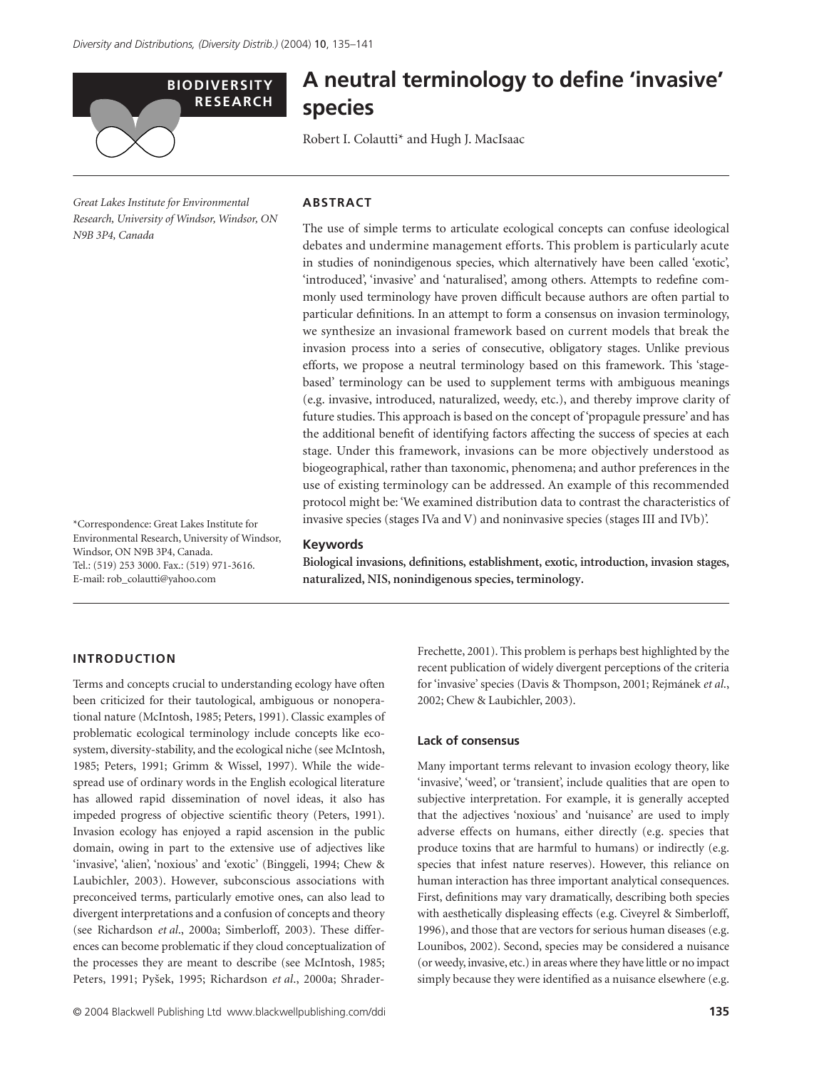

# Blackwell Publishing, Ltd. **A neutral terminology to define 'invasive' species**

Robert I. Colautti\* and Hugh J. MacIsaac

*Great Lakes Institute for Environmental Research, University of Windsor, Windsor, ON N9B 3P4, Canada* 

### **ABSTRACT**

The use of simple terms to articulate ecological concepts can confuse ideological debates and undermine management efforts. This problem is particularly acute in studies of nonindigenous species, which alternatively have been called 'exotic', 'introduced', 'invasive' and 'naturalised', among others. Attempts to redefine commonly used terminology have proven difficult because authors are often partial to particular definitions. In an attempt to form a consensus on invasion terminology, we synthesize an invasional framework based on current models that break the invasion process into a series of consecutive, obligatory stages. Unlike previous efforts, we propose a neutral terminology based on this framework. This 'stagebased' terminology can be used to supplement terms with ambiguous meanings (e.g. invasive, introduced, naturalized, weedy, etc.), and thereby improve clarity of future studies. This approach is based on the concept of 'propagule pressure' and has the additional benefit of identifying factors affecting the success of species at each stage. Under this framework, invasions can be more objectively understood as biogeographical, rather than taxonomic, phenomena; and author preferences in the use of existing terminology can be addressed. An example of this recommended protocol might be: 'We examined distribution data to contrast the characteristics of invasive species (stages IVa and V) and noninvasive species (stages III and IVb)'.

#### **Keywords**

**Biological invasions, definitions, establishment, exotic, introduction, invasion stages, naturalized, NIS, nonindigenous species, terminology.**

\*Correspondence: Great Lakes Institute for Environmental Research, University of Windsor, Windsor, ON N9B 3P4, Canada. Tel.: (519) 253 3000. Fax.: (519) 971-3616. E-mail: rob\_colautti@yahoo.com

## **INTRODUCTION**

Terms and concepts crucial to understanding ecology have often been criticized for their tautological, ambiguous or nonoperational nature (McIntosh, 1985; Peters, 1991). Classic examples of problematic ecological terminology include concepts like ecosystem, diversity-stability, and the ecological niche (see McIntosh, 1985; Peters, 1991; Grimm & Wissel, 1997). While the widespread use of ordinary words in the English ecological literature has allowed rapid dissemination of novel ideas, it also has impeded progress of objective scientific theory (Peters, 1991). Invasion ecology has enjoyed a rapid ascension in the public domain, owing in part to the extensive use of adjectives like 'invasive', 'alien', 'noxious' and 'exotic' (Binggeli, 1994; Chew & Laubichler, 2003). However, subconscious associations with preconceived terms, particularly emotive ones, can also lead to divergent interpretations and a confusion of concepts and theory (see Richardson *et al*., 2000a; Simberloff, 2003). These differences can become problematic if they cloud conceptualization of the processes they are meant to describe (see McIntosh, 1985; Peters, 1991; Pysek, 1995; Richardson *et al*., 2000a; ShraderFrechette, 2001). This problem is perhaps best highlighted by the recent publication of widely divergent perceptions of the criteria for 'invasive' species (Davis & Thompson, 2001; Rejmánek *et al*., 2002; Chew & Laubichler, 2003).

#### **Lack of consensus**

Many important terms relevant to invasion ecology theory, like 'invasive', 'weed', or 'transient', include qualities that are open to subjective interpretation. For example, it is generally accepted that the adjectives 'noxious' and 'nuisance' are used to imply adverse effects on humans, either directly (e.g. species that produce toxins that are harmful to humans) or indirectly (e.g. species that infest nature reserves). However, this reliance on human interaction has three important analytical consequences. First, definitions may vary dramatically, describing both species with aesthetically displeasing effects (e.g. Civeyrel & Simberloff, 1996), and those that are vectors for serious human diseases (e.g. Lounibos, 2002). Second, species may be considered a nuisance (or weedy, invasive, etc.) in areas where they have little or no impact simply because they were identified as a nuisance elsewhere (e.g.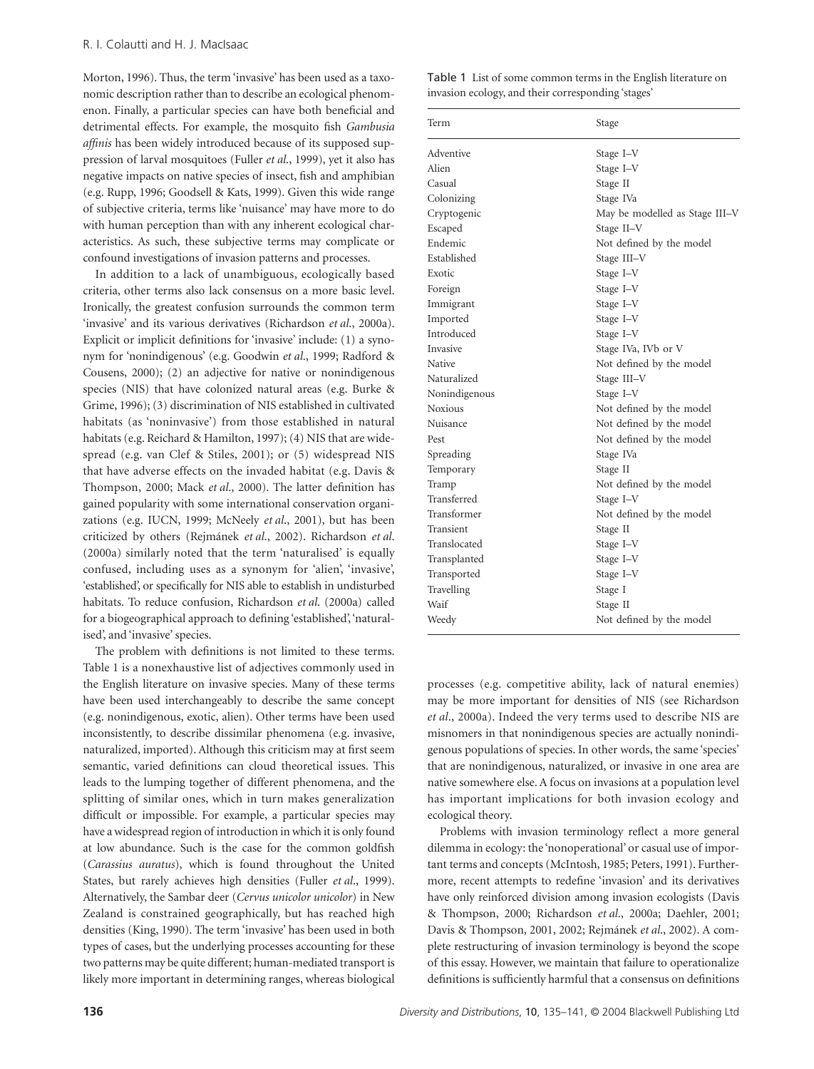Morton, 1996). Thus, the term 'invasive' has been used as a taxonomic description rather than to describe an ecological phenomenon. Finally, a particular species can have both beneficial and detrimental effects. For example, the mosquito fish *Gambusia affinis* has been widely introduced because of its supposed suppression of larval mosquitoes (Fuller *et al*., 1999), yet it also has negative impacts on native species of insect, fish and amphibian (e.g. Rupp, 1996; Goodsell & Kats, 1999). Given this wide range of subjective criteria, terms like 'nuisance' may have more to do with human perception than with any inherent ecological characteristics. As such, these subjective terms may complicate or confound investigations of invasion patterns and processes.

In addition to a lack of unambiguous, ecologically based criteria, other terms also lack consensus on a more basic level. Ironically, the greatest confusion surrounds the common term 'invasive' and its various derivatives (Richardson *et al*., 2000a). Explicit or implicit definitions for 'invasive' include: (1) a synonym for 'nonindigenous' (e.g. Goodwin *et al*., 1999; Radford & Cousens, 2000); (2) an adjective for native or nonindigenous species (NIS) that have colonized natural areas (e.g. Burke & Grime, 1996); (3) discrimination of NIS established in cultivated habitats (as 'noninvasive') from those established in natural habitats (e.g. Reichard & Hamilton, 1997); (4) NIS that are widespread (e.g. van Clef & Stiles, 2001); or (5) widespread NIS that have adverse effects on the invaded habitat (e.g. Davis & Thompson, 2000; Mack *et al*., 2000). The latter definition has gained popularity with some international conservation organizations (e.g. IUCN, 1999; McNeely *et al*., 2001), but has been criticized by others (Rejmánek *et al*., 2002). Richardson *et al*. (2000a) similarly noted that the term 'naturalised' is equally confused, including uses as a synonym for 'alien', 'invasive', 'established', or specifically for NIS able to establish in undisturbed habitats. To reduce confusion, Richardson *et al*. (2000a) called for a biogeographical approach to defining 'established', 'naturalised', and 'invasive' species.

The problem with definitions is not limited to these terms. Table 1 is a nonexhaustive list of adjectives commonly used in the English literature on invasive species. Many of these terms have been used interchangeably to describe the same concept (e.g. nonindigenous, exotic, alien). Other terms have been used inconsistently, to describe dissimilar phenomena (e.g. invasive, naturalized, imported). Although this criticism may at first seem semantic, varied definitions can cloud theoretical issues. This leads to the lumping together of different phenomena, and the splitting of similar ones, which in turn makes generalization difficult or impossible. For example, a particular species may have a widespread region of introduction in which it is only found at low abundance. Such is the case for the common goldfish (*Carassius auratus*), which is found throughout the United States, but rarely achieves high densities (Fuller *et al*., 1999). Alternatively, the Sambar deer (*Cervus unicolor unicolor*) in New Zealand is constrained geographically, but has reached high densities (King, 1990). The term 'invasive' has been used in both types of cases, but the underlying processes accounting for these two patterns may be quite different; human-mediated transport is likely more important in determining ranges, whereas biological Table 1 List of some common terms in the English literature on invasion ecology, and their corresponding 'stages'

| Term           | Stage                          |
|----------------|--------------------------------|
| Adventive      | Stage I-V                      |
| Alien          | Stage I-V                      |
| Casual         | Stage II                       |
| Colonizing     | Stage IVa                      |
| Cryptogenic    | May be modelled as Stage III–V |
| Escaped        | Stage II-V                     |
| Endemic        | Not defined by the model       |
| Established    | Stage III-V                    |
| Exotic         | Stage I-V                      |
| Foreign        | Stage I-V                      |
| Immigrant      | Stage I-V                      |
| Imported       | Stage I-V                      |
| Introduced     | Stage I-V                      |
| Invasive       | Stage IVa, IVb or V            |
| <b>Native</b>  | Not defined by the model       |
| Naturalized    | Stage III-V                    |
| Nonindigenous  | Stage I-V                      |
| <b>Noxious</b> | Not defined by the model       |
| Nuisance       | Not defined by the model       |
| Pest           | Not defined by the model       |
| Spreading      | Stage IVa                      |
| Temporary      | Stage II                       |
| Tramp          | Not defined by the model       |
| Transferred    | Stage I-V                      |
| Transformer    | Not defined by the model       |
| Transient      | Stage II                       |
| Translocated   | Stage I-V                      |
| Transplanted   | Stage I-V                      |
| Transported    | Stage I-V                      |
| Travelling     | Stage I                        |
| Waif           | Stage II                       |
| Weedy          | Not defined by the model       |

processes (e.g. competitive ability, lack of natural enemies) may be more important for densities of NIS (see Richardson *et al*., 2000a). Indeed the very terms used to describe NIS are misnomers in that nonindigenous species are actually nonindigenous populations of species. In other words, the same 'species' that are nonindigenous, naturalized, or invasive in one area are native somewhere else. A focus on invasions at a population level has important implications for both invasion ecology and ecological theory.

Problems with invasion terminology reflect a more general dilemma in ecology: the 'nonoperational' or casual use of important terms and concepts (McIntosh, 1985; Peters, 1991). Furthermore, recent attempts to redefine 'invasion' and its derivatives have only reinforced division among invasion ecologists (Davis & Thompson, 2000; Richardson *et al*., 2000a; Daehler, 2001; Davis & Thompson, 2001, 2002; Rejmánek *et al*., 2002). A complete restructuring of invasion terminology is beyond the scope of this essay. However, we maintain that failure to operationalize definitions is sufficiently harmful that a consensus on definitions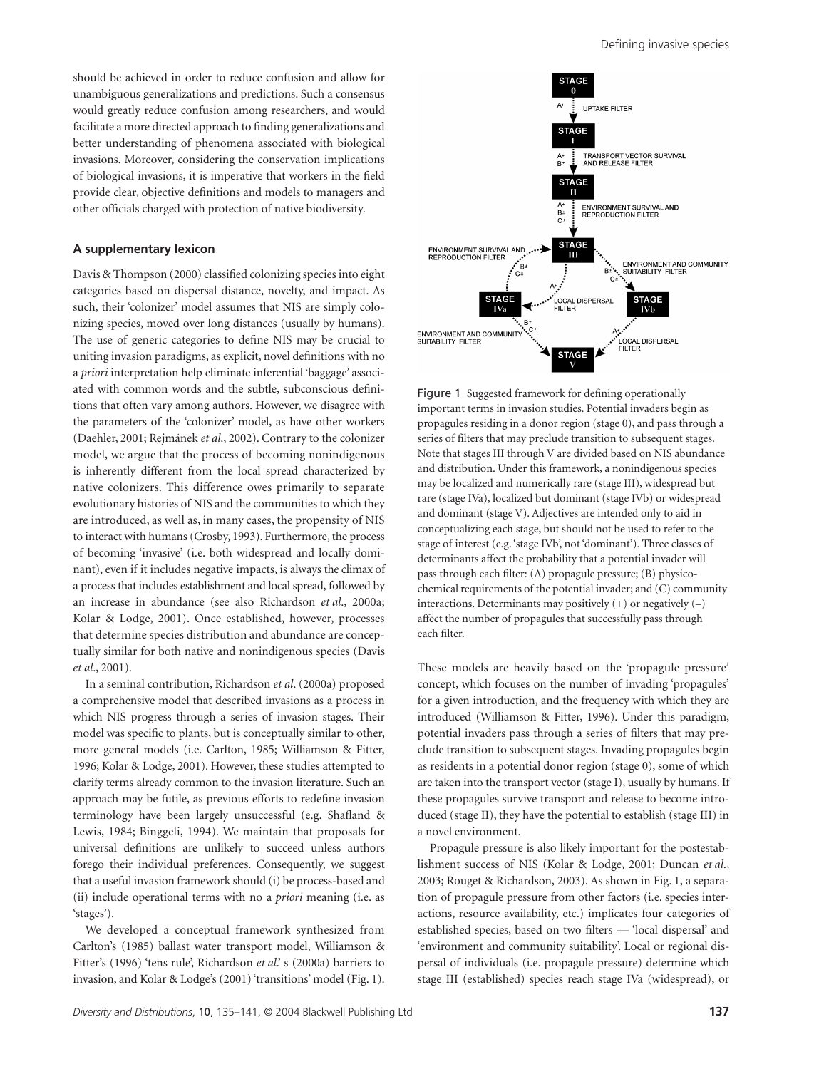should be achieved in order to reduce confusion and allow for unambiguous generalizations and predictions. Such a consensus would greatly reduce confusion among researchers, and would facilitate a more directed approach to finding generalizations and better understanding of phenomena associated with biological invasions. Moreover, considering the conservation implications of biological invasions, it is imperative that workers in the field provide clear, objective definitions and models to managers and other officials charged with protection of native biodiversity.

#### **A supplementary lexicon**

Davis & Thompson (2000) classified colonizing species into eight categories based on dispersal distance, novelty, and impact. As such, their 'colonizer' model assumes that NIS are simply colonizing species, moved over long distances (usually by humans). The use of generic categories to define NIS may be crucial to uniting invasion paradigms, as explicit, novel definitions with no a *priori* interpretation help eliminate inferential 'baggage' associated with common words and the subtle, subconscious definitions that often vary among authors. However, we disagree with the parameters of the 'colonizer' model, as have other workers (Daehler, 2001; Rejmánek *et al*., 2002). Contrary to the colonizer model, we argue that the process of becoming nonindigenous is inherently different from the local spread characterized by native colonizers. This difference owes primarily to separate evolutionary histories of NIS and the communities to which they are introduced, as well as, in many cases, the propensity of NIS to interact with humans (Crosby, 1993). Furthermore, the process of becoming 'invasive' (i.e. both widespread and locally dominant), even if it includes negative impacts, is always the climax of a process that includes establishment and local spread, followed by an increase in abundance (see also Richardson *et al*., 2000a; Kolar & Lodge, 2001). Once established, however, processes that determine species distribution and abundance are conceptually similar for both native and nonindigenous species (Davis *et al*., 2001).

In a seminal contribution, Richardson *et al*. (2000a) proposed a comprehensive model that described invasions as a process in which NIS progress through a series of invasion stages. Their model was specific to plants, but is conceptually similar to other, more general models (i.e. Carlton, 1985; Williamson & Fitter, 1996; Kolar & Lodge, 2001). However, these studies attempted to clarify terms already common to the invasion literature. Such an approach may be futile, as previous efforts to redefine invasion terminology have been largely unsuccessful (e.g. Shafland & Lewis, 1984; Binggeli, 1994). We maintain that proposals for universal definitions are unlikely to succeed unless authors forego their individual preferences. Consequently, we suggest that a useful invasion framework should (i) be process-based and (ii) include operational terms with no a *priori* meaning (i.e. as 'stages').

We developed a conceptual framework synthesized from Carlton's (1985) ballast water transport model, Williamson & Fitter's (1996) 'tens rule', Richardson *et al*.' s (2000a) barriers to invasion, and Kolar & Lodge's (2001) 'transitions' model (Fig. 1).



**STAGE** 

important terms in invasion studies. Potential invaders begin as propagules residing in a donor region (stage 0), and pass through a series of filters that may preclude transition to subsequent stages. Note that stages III through V are divided based on NIS abundance and distribution. Under this framework, a nonindigenous species may be localized and numerically rare (stage III), widespread but rare (stage IVa), localized but dominant (stage IVb) or widespread and dominant (stage V). Adjectives are intended only to aid in conceptualizing each stage, but should not be used to refer to the stage of interest (e.g. 'stage IVb', not 'dominant'). Three classes of determinants affect the probability that a potential invader will pass through each filter: (A) propagule pressure; (B) physicochemical requirements of the potential invader; and (C) community interactions. Determinants may positively  $(+)$  or negatively  $(-)$ affect the number of propagules that successfully pass through each filter.

These models are heavily based on the 'propagule pressure' concept, which focuses on the number of invading 'propagules' for a given introduction, and the frequency with which they are introduced (Williamson & Fitter, 1996). Under this paradigm, potential invaders pass through a series of filters that may preclude transition to subsequent stages. Invading propagules begin as residents in a potential donor region (stage 0), some of which are taken into the transport vector (stage I), usually by humans. If these propagules survive transport and release to become introduced (stage II), they have the potential to establish (stage III) in a novel environment.

Propagule pressure is also likely important for the postestablishment success of NIS (Kolar & Lodge, 2001; Duncan *et al*., 2003; Rouget & Richardson, 2003). As shown in Fig. 1, a separation of propagule pressure from other factors (i.e. species interactions, resource availability, etc.) implicates four categories of established species, based on two filters — 'local dispersal' and 'environment and community suitability'. Local or regional dispersal of individuals (i.e. propagule pressure) determine which stage III (established) species reach stage IVa (widespread), or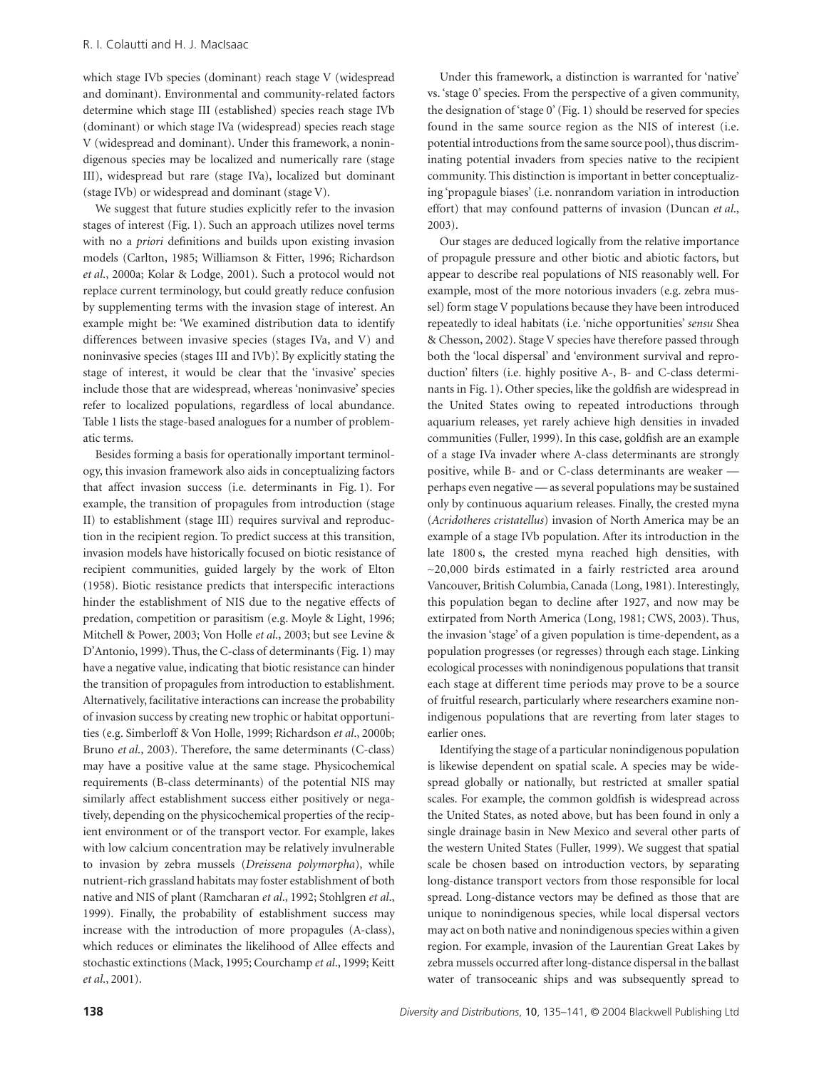which stage IVb species (dominant) reach stage V (widespread and dominant). Environmental and community-related factors determine which stage III (established) species reach stage IVb (dominant) or which stage IVa (widespread) species reach stage V (widespread and dominant). Under this framework, a nonindigenous species may be localized and numerically rare (stage III), widespread but rare (stage IVa), localized but dominant (stage IVb) or widespread and dominant (stage V).

We suggest that future studies explicitly refer to the invasion stages of interest (Fig. 1). Such an approach utilizes novel terms with no a *priori* definitions and builds upon existing invasion models (Carlton, 1985; Williamson & Fitter, 1996; Richardson *et al*., 2000a; Kolar & Lodge, 2001). Such a protocol would not replace current terminology, but could greatly reduce confusion by supplementing terms with the invasion stage of interest. An example might be: 'We examined distribution data to identify differences between invasive species (stages IVa, and V) and noninvasive species (stages III and IVb)'. By explicitly stating the stage of interest, it would be clear that the 'invasive' species include those that are widespread, whereas 'noninvasive' species refer to localized populations, regardless of local abundance. Table 1 lists the stage-based analogues for a number of problematic terms.

Besides forming a basis for operationally important terminology, this invasion framework also aids in conceptualizing factors that affect invasion success (i.e. determinants in Fig. 1). For example, the transition of propagules from introduction (stage II) to establishment (stage III) requires survival and reproduction in the recipient region. To predict success at this transition, invasion models have historically focused on biotic resistance of recipient communities, guided largely by the work of Elton (1958). Biotic resistance predicts that interspecific interactions hinder the establishment of NIS due to the negative effects of predation, competition or parasitism (e.g. Moyle & Light, 1996; Mitchell & Power, 2003; Von Holle *et al*., 2003; but see Levine & D'Antonio, 1999). Thus, the C-class of determinants (Fig. 1) may have a negative value, indicating that biotic resistance can hinder the transition of propagules from introduction to establishment. Alternatively, facilitative interactions can increase the probability of invasion success by creating new trophic or habitat opportunities (e.g. Simberloff & Von Holle, 1999; Richardson *et al*., 2000b; Bruno *et al*., 2003). Therefore, the same determinants (C-class) may have a positive value at the same stage. Physicochemical requirements (B-class determinants) of the potential NIS may similarly affect establishment success either positively or negatively, depending on the physicochemical properties of the recipient environment or of the transport vector. For example, lakes with low calcium concentration may be relatively invulnerable to invasion by zebra mussels (*Dreissena polymorpha*), while nutrient-rich grassland habitats may foster establishment of both native and NIS of plant (Ramcharan *et al*., 1992; Stohlgren *et al*., 1999). Finally, the probability of establishment success may increase with the introduction of more propagules (A-class), which reduces or eliminates the likelihood of Allee effects and stochastic extinctions (Mack, 1995; Courchamp *et al*., 1999; Keitt *et al*., 2001).

Under this framework, a distinction is warranted for 'native' vs. 'stage 0' species. From the perspective of a given community, the designation of 'stage 0' (Fig. 1) should be reserved for species found in the same source region as the NIS of interest (i.e. potential introductions from the same source pool), thus discriminating potential invaders from species native to the recipient community. This distinction is important in better conceptualizing 'propagule biases' (i.e. nonrandom variation in introduction effort) that may confound patterns of invasion (Duncan *et al*., 2003).

Our stages are deduced logically from the relative importance of propagule pressure and other biotic and abiotic factors, but appear to describe real populations of NIS reasonably well. For example, most of the more notorious invaders (e.g. zebra mussel) form stage V populations because they have been introduced repeatedly to ideal habitats (i.e. 'niche opportunities' *sensu* Shea & Chesson, 2002). Stage V species have therefore passed through both the 'local dispersal' and 'environment survival and reproduction' filters (i.e. highly positive A-, B- and C-class determinants in Fig. 1). Other species, like the goldfish are widespread in the United States owing to repeated introductions through aquarium releases, yet rarely achieve high densities in invaded communities (Fuller, 1999). In this case, goldfish are an example of a stage IVa invader where A-class determinants are strongly positive, while B- and or C-class determinants are weaker perhaps even negative — as several populations may be sustained only by continuous aquarium releases. Finally, the crested myna (*Acridotheres cristatellus*) invasion of North America may be an example of a stage IVb population. After its introduction in the late 1800 s, the crested myna reached high densities, with ∼20,000 birds estimated in a fairly restricted area around Vancouver, British Columbia, Canada (Long, 1981). Interestingly, this population began to decline after 1927, and now may be extirpated from North America (Long, 1981; CWS, 2003). Thus, the invasion 'stage' of a given population is time-dependent, as a population progresses (or regresses) through each stage. Linking ecological processes with nonindigenous populations that transit each stage at different time periods may prove to be a source of fruitful research, particularly where researchers examine nonindigenous populations that are reverting from later stages to earlier ones.

Identifying the stage of a particular nonindigenous population is likewise dependent on spatial scale. A species may be widespread globally or nationally, but restricted at smaller spatial scales. For example, the common goldfish is widespread across the United States, as noted above, but has been found in only a single drainage basin in New Mexico and several other parts of the western United States (Fuller, 1999). We suggest that spatial scale be chosen based on introduction vectors, by separating long-distance transport vectors from those responsible for local spread. Long-distance vectors may be defined as those that are unique to nonindigenous species, while local dispersal vectors may act on both native and nonindigenous species within a given region. For example, invasion of the Laurentian Great Lakes by zebra mussels occurred after long-distance dispersal in the ballast water of transoceanic ships and was subsequently spread to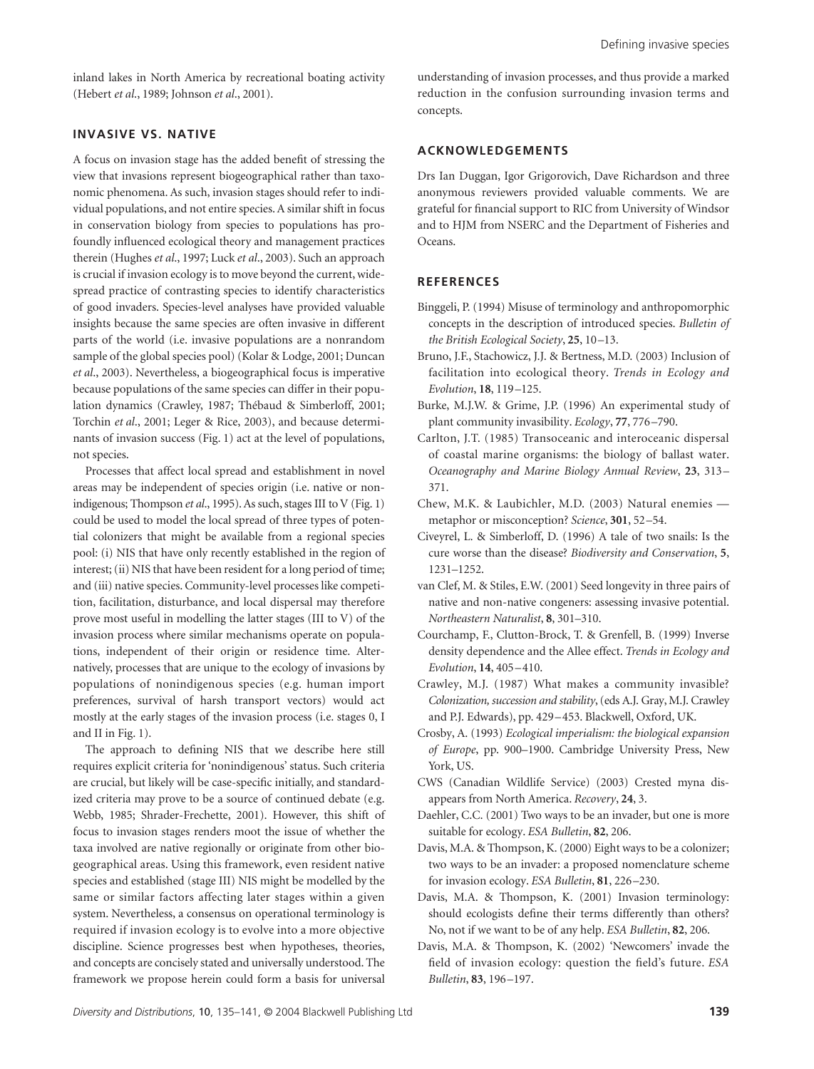inland lakes in North America by recreational boating activity (Hebert *et al*., 1989; Johnson *et al*., 2001).

# **INVASIVE VS. NATIVE**

A focus on invasion stage has the added benefit of stressing the view that invasions represent biogeographical rather than taxonomic phenomena. As such, invasion stages should refer to individual populations, and not entire species. A similar shift in focus in conservation biology from species to populations has profoundly influenced ecological theory and management practices therein (Hughes *et al*., 1997; Luck *et al*., 2003). Such an approach is crucial if invasion ecology is to move beyond the current, widespread practice of contrasting species to identify characteristics of good invaders. Species-level analyses have provided valuable insights because the same species are often invasive in different parts of the world (i.e. invasive populations are a nonrandom sample of the global species pool) (Kolar & Lodge, 2001; Duncan *et al*., 2003). Nevertheless, a biogeographical focus is imperative because populations of the same species can differ in their population dynamics (Crawley, 1987; Thébaud & Simberloff, 2001; Torchin *et al*., 2001; Leger & Rice, 2003), and because determinants of invasion success (Fig. 1) act at the level of populations, not species.

Processes that affect local spread and establishment in novel areas may be independent of species origin (i.e. native or nonindigenous; Thompson *et al*., 1995). As such, stages III to V (Fig. 1) could be used to model the local spread of three types of potential colonizers that might be available from a regional species pool: (i) NIS that have only recently established in the region of interest; (ii) NIS that have been resident for a long period of time; and (iii) native species. Community-level processes like competition, facilitation, disturbance, and local dispersal may therefore prove most useful in modelling the latter stages (III to V) of the invasion process where similar mechanisms operate on populations, independent of their origin or residence time. Alternatively, processes that are unique to the ecology of invasions by populations of nonindigenous species (e.g. human import preferences, survival of harsh transport vectors) would act mostly at the early stages of the invasion process (i.e. stages 0, I and II in Fig. 1).

The approach to defining NIS that we describe here still requires explicit criteria for 'nonindigenous' status. Such criteria are crucial, but likely will be case-specific initially, and standardized criteria may prove to be a source of continued debate (e.g. Webb, 1985; Shrader-Frechette, 2001). However, this shift of focus to invasion stages renders moot the issue of whether the taxa involved are native regionally or originate from other biogeographical areas. Using this framework, even resident native species and established (stage III) NIS might be modelled by the same or similar factors affecting later stages within a given system. Nevertheless, a consensus on operational terminology is required if invasion ecology is to evolve into a more objective discipline. Science progresses best when hypotheses, theories, and concepts are concisely stated and universally understood. The framework we propose herein could form a basis for universal understanding of invasion processes, and thus provide a marked reduction in the confusion surrounding invasion terms and concepts.

# **ACKNOWLEDGEMENTS**

Drs Ian Duggan, Igor Grigorovich, Dave Richardson and three anonymous reviewers provided valuable comments. We are grateful for financial support to RIC from University of Windsor and to HJM from NSERC and the Department of Fisheries and Oceans.

#### **REFERENCES**

- Binggeli, P. (1994) Misuse of terminology and anthropomorphic concepts in the description of introduced species. *Bulletin of the British Ecological Society*, **25**, 10–13.
- Bruno, J.F., Stachowicz, J.J. & Bertness, M.D. (2003) Inclusion of facilitation into ecological theory. *Trends in Ecology and Evolution*, **18**, 119–125.
- Burke, M.J.W. & Grime, J.P. (1996) An experimental study of plant community invasibility. *Ecology*, **77**, 776–790.
- Carlton, J.T. (1985) Transoceanic and interoceanic dispersal of coastal marine organisms: the biology of ballast water. *Oceanography and Marine Biology Annual Review*, **23**, 313– 371.
- Chew, M.K. & Laubichler, M.D. (2003) Natural enemies metaphor or misconception? *Science*, **301**, 52–54.
- Civeyrel, L. & Simberloff, D. (1996) A tale of two snails: Is the cure worse than the disease? *Biodiversity and Conservation*, **5**, 1231–1252.
- van Clef, M. & Stiles, E.W. (2001) Seed longevity in three pairs of native and non-native congeners: assessing invasive potential. *Northeastern Naturalist*, **8**, 301–310.
- Courchamp, F., Clutton-Brock, T. & Grenfell, B. (1999) Inverse density dependence and the Allee effect. *Trends in Ecology and Evolution*, **14**, 405–410.
- Crawley, M.J. (1987) What makes a community invasible? *Colonization, succession and stability*, (eds A.J. Gray, M.J. Crawley and P.J. Edwards), pp. 429–453. Blackwell, Oxford, UK.
- Crosby, A. (1993) *Ecological imperialism: the biological expansion of Europe*, pp. 900–1900. Cambridge University Press, New York, US.
- CWS (Canadian Wildlife Service) (2003) Crested myna disappears from North America. *Recovery*, **24**, 3.
- Daehler, C.C. (2001) Two ways to be an invader, but one is more suitable for ecology. *ESA Bulletin*, **82**, 206.
- Davis, M.A. & Thompson, K. (2000) Eight ways to be a colonizer; two ways to be an invader: a proposed nomenclature scheme for invasion ecology. *ESA Bulletin*, **81**, 226–230.
- Davis, M.A. & Thompson, K. (2001) Invasion terminology: should ecologists define their terms differently than others? No, not if we want to be of any help. *ESA Bulletin*, **82**, 206.
- Davis, M.A. & Thompson, K. (2002) 'Newcomers' invade the field of invasion ecology: question the field's future. *ESA Bulletin*, **83**, 196–197.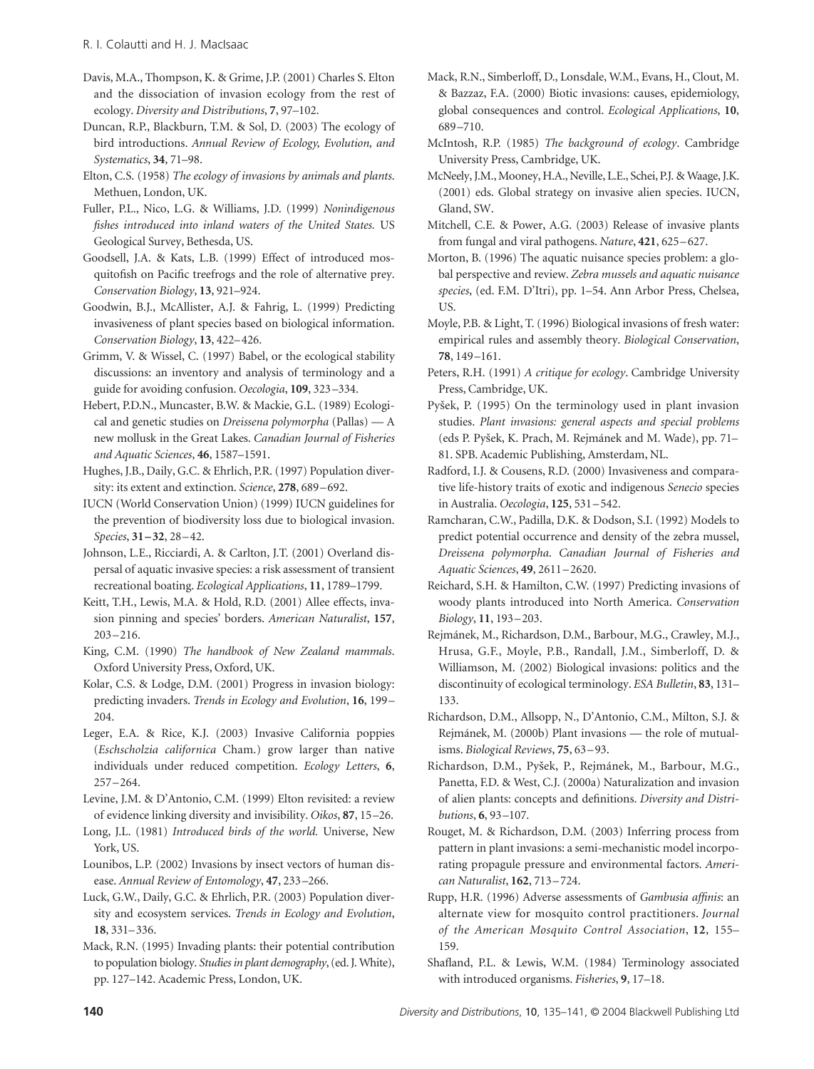- Davis, M.A., Thompson, K. & Grime, J.P. (2001) Charles S. Elton and the dissociation of invasion ecology from the rest of ecology. *Diversity and Distributions*, **7**, 97–102.
- Duncan, R.P., Blackburn, T.M. & Sol, D. (2003) The ecology of bird introductions. *Annual Review of Ecology, Evolution, and Systematics*, **34**, 71–98.
- Elton, C.S. (1958) *The ecology of invasions by animals and plants*. Methuen, London, UK.
- Fuller, P.L., Nico, L.G. & Williams, J.D. (1999) *Nonindigenous fishes introduced into inland waters of the United States.* US Geological Survey, Bethesda, US.
- Goodsell, J.A. & Kats, L.B. (1999) Effect of introduced mosquitofish on Pacific treefrogs and the role of alternative prey. *Conservation Biology*, **13**, 921–924.
- Goodwin, B.J., McAllister, A.J. & Fahrig, L. (1999) Predicting invasiveness of plant species based on biological information. *Conservation Biology*, **13**, 422–426.
- Grimm, V. & Wissel, C. (1997) Babel, or the ecological stability discussions: an inventory and analysis of terminology and a guide for avoiding confusion. *Oecologia*, **109**, 323–334.
- Hebert, P.D.N., Muncaster, B.W. & Mackie, G.L. (1989) Ecological and genetic studies on *Dreissena polymorpha* (Pallas) — A new mollusk in the Great Lakes. *Canadian Journal of Fisheries and Aquatic Sciences*, **46**, 1587–1591.
- Hughes, J.B., Daily, G.C. & Ehrlich, P.R. (1997) Population diversity: its extent and extinction. *Science*, **278**, 689–692.
- IUCN (World Conservation Union) (1999) IUCN guidelines for the prevention of biodiversity loss due to biological invasion. *Species*, **31 – 32**, 28–42.
- Johnson, L.E., Ricciardi, A. & Carlton, J.T. (2001) Overland dispersal of aquatic invasive species: a risk assessment of transient recreational boating. *Ecological Applications*, **11**, 1789–1799.
- Keitt, T.H., Lewis, M.A. & Hold, R.D. (2001) Allee effects, invasion pinning and species' borders. *American Naturalist*, **157**, 203–216.
- King, C.M. (1990) *The handbook of New Zealand mammals*. Oxford University Press, Oxford, UK.
- Kolar, C.S. & Lodge, D.M. (2001) Progress in invasion biology: predicting invaders. *Trends in Ecology and Evolution*, **16**, 199– 204.
- Leger, E.A. & Rice, K.J. (2003) Invasive California poppies (*Eschscholzia californica* Cham.) grow larger than native individuals under reduced competition. *Ecology Letters*, **6**, 257–264.
- Levine, J.M. & D'Antonio, C.M. (1999) Elton revisited: a review of evidence linking diversity and invisibility. *Oikos*, **87**, 15–26.
- Long, J.L. (1981) *Introduced birds of the world.* Universe, New York, US.
- Lounibos, L.P. (2002) Invasions by insect vectors of human disease. *Annual Review of Entomology*, **47**, 233–266.
- Luck, G.W., Daily, G.C. & Ehrlich, P.R. (2003) Population diversity and ecosystem services. *Trends in Ecology and Evolution*, **18**, 331–336.
- Mack, R.N. (1995) Invading plants: their potential contribution to population biology. *Studies in plant demography*, (ed. J. White), pp. 127–142. Academic Press, London, UK.
- Mack, R.N., Simberloff, D., Lonsdale, W.M., Evans, H., Clout, M. & Bazzaz, F.A. (2000) Biotic invasions: causes, epidemiology, global consequences and control. *Ecological Applications*, **10**, 689–710.
- McIntosh, R.P. (1985) *The background of ecology*. Cambridge University Press, Cambridge, UK.
- McNeely, J.M., Mooney, H.A., Neville, L.E., Schei, P.J. & Waage, J.K. (2001) eds. Global strategy on invasive alien species. IUCN, Gland, SW.
- Mitchell, C.E. & Power, A.G. (2003) Release of invasive plants from fungal and viral pathogens. *Nature*, **421**, 625–627.
- Morton, B. (1996) The aquatic nuisance species problem: a global perspective and review. *Zebra mussels and aquatic nuisance species*, (ed. F.M. D'Itri), pp. 1–54. Ann Arbor Press, Chelsea, **US.**
- Moyle, P.B. & Light, T. (1996) Biological invasions of fresh water: empirical rules and assembly theory. *Biological Conservation*, **78**, 149–161.
- Peters, R.H. (1991) *A critique for ecology*. Cambridge University Press, Cambridge, UK.
- Pysek, P. (1995) On the terminology used in plant invasion studies. *Plant invasions: general aspects and special problems* (eds P. Pysek, K. Prach, M. Rejmánek and M. Wade), pp. 71– 81. SPB. Academic Publishing, Amsterdam, NL.
- Radford, I.J. & Cousens, R.D. (2000) Invasiveness and comparative life-history traits of exotic and indigenous *Senecio* species in Australia. *Oecologia*, **125**, 531–542.
- Ramcharan, C.W., Padilla, D.K. & Dodson, S.I. (1992) Models to predict potential occurrence and density of the zebra mussel, *Dreissena polymorpha*. *Canadian Journal of Fisheries and Aquatic Sciences*, **49**, 2611–2620.
- Reichard, S.H. & Hamilton, C.W. (1997) Predicting invasions of woody plants introduced into North America. *Conservation Biology*, **11**, 193–203.
- Rejmánek, M., Richardson, D.M., Barbour, M.G., Crawley, M.J., Hrusa, G.F., Moyle, P.B., Randall, J.M., Simberloff, D. & Williamson, M. (2002) Biological invasions: politics and the discontinuity of ecological terminology. *ESA Bulletin*, **83**, 131– 133.
- Richardson, D.M., Allsopp, N., D'Antonio, C.M., Milton, S.J. & Rejmánek, M. (2000b) Plant invasions — the role of mutualisms. *Biological Reviews*, **75**, 63–93.
- Richardson, D.M., Pysek, P., Rejmánek, M., Barbour, M.G., Panetta, F.D. & West, C.J. (2000a) Naturalization and invasion of alien plants: concepts and definitions. *Diversity and Distributions*, **6**, 93–107.
- Rouget, M. & Richardson, D.M. (2003) Inferring process from pattern in plant invasions: a semi-mechanistic model incorporating propagule pressure and environmental factors. *American Naturalist*, **162**, 713–724.
- Rupp, H.R. (1996) Adverse assessments of *Gambusia affinis*: an alternate view for mosquito control practitioners. *Journal of the American Mosquito Control Association*, **12**, 155– 159.
- Shafland, P.L. & Lewis, W.M. (1984) Terminology associated with introduced organisms. *Fisheries*, **9**, 17–18.